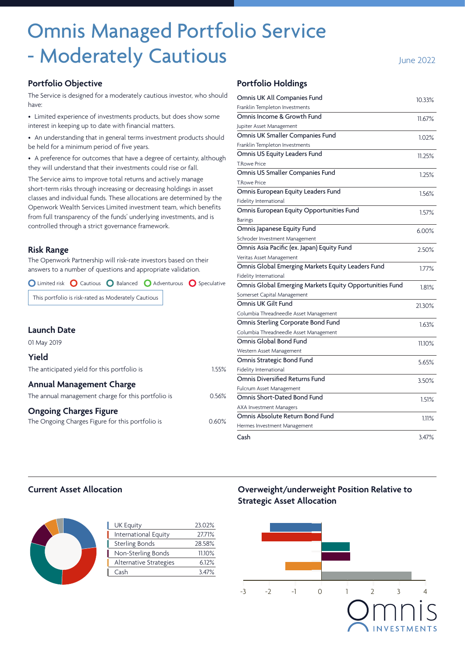# Omnis Managed Portfolio Service - Moderately Cautious **Fig. 2022** June 2022

#### **Portfolio Objective**

The Service is designed for a moderately cautious investor, who should have:

• Limited experience of investments products, but does show some interest in keeping up to date with financial matters.

• An understanding that in general terms investment products should be held for a minimum period of five years.

• A preference for outcomes that have a degree of certainty, although they will understand that their investments could rise or fall.

The Service aims to improve total returns and actively manage short-term risks through increasing or decreasing holdings in asset classes and individual funds. These allocations are determined by the Openwork Wealth Services Limited investment team, which benefits from full transparency of the funds' underlying investments, and is controlled through a strict governance framework.

#### **Risk Range**

The Openwork Partnership will risk-rate investors based on their answers to a number of questions and appropriate validation.

O Limited risk O Cautious O Balanced O Adventurous O Speculative

This portfolio is risk-rated as Moderately Cautious

|                                                    |                                 | COMITIDIA THERUITECULE ASSELTVIAL   |
|----------------------------------------------------|---------------------------------|-------------------------------------|
|                                                    |                                 | Omnis Sterling Corporate Bo         |
| <b>Launch Date</b>                                 | Columbia Threadneedle Asset Man |                                     |
| 01 May 2019                                        |                                 | Omnis Global Bond Fund              |
|                                                    |                                 | Western Asset Management            |
| <b>Yield</b>                                       | Omnis Strategic Bond Fund       |                                     |
| The anticipated yield for this portfolio is        | 1.55%                           | Fidelity International              |
|                                                    |                                 | <b>Omnis Diversified Returns Fu</b> |
| <b>Annual Management Charge</b>                    |                                 | Fulcrum Asset Management            |
| The annual management charge for this portfolio is | 0.56%                           | Omnis Short-Dated Bond Fur          |
| <b>Ongoing Charges Figure</b>                      |                                 | <b>AXA Investment Managers</b>      |
|                                                    | 0.60%                           | Omnis Absolute Return Bong          |
| The Ongoing Charges Figure for this portfolio is   |                                 | Hermes Investment Management        |

#### **Portfolio Holdings**

| Omnis UK All Companies Fund                             | 10.33%   |
|---------------------------------------------------------|----------|
| Franklin Templeton Investments                          |          |
| Omnis Income & Growth Fund                              | 11.67%   |
| Jupiter Asset Management                                |          |
| Omnis UK Smaller Companies Fund                         | $1.02\%$ |
| Franklin Templeton Investments                          |          |
| Omnis US Equity Leaders Fund                            | 11.25%   |
| <b>T.Rowe Price</b>                                     |          |
| Omnis US Smaller Companies Fund                         | 1.25%    |
| <b>T.Rowe Price</b>                                     |          |
| Omnis European Equity Leaders Fund                      | 1.56%    |
| Fidelity International                                  |          |
| Omnis European Equity Opportunities Fund                | 1.57%    |
| <b>Barings</b>                                          |          |
| Omnis Japanese Equity Fund                              | 6.00%    |
| Schroder Investment Management                          |          |
| Omnis Asia Pacific (ex. Japan) Equity Fund              | 2.50%    |
| Veritas Asset Management                                |          |
| Omnis Global Emerging Markets Equity Leaders Fund       | 1.77%    |
| Fidelity International                                  |          |
| Omnis Global Emerging Markets Equity Opportunities Fund | 1.81%    |
| Somerset Capital Management                             |          |
| Omnis UK Gilt Fund                                      | 21.30%   |
| Columbia Threadneedle Asset Management                  |          |
| Omnis Sterling Corporate Bond Fund                      | 1.63%    |
| Columbia Threadneedle Asset Management                  |          |
| Omnis Global Bond Fund                                  | 11.10%   |
| Western Asset Management                                |          |
| Omnis Strategic Bond Fund                               | 5.65%    |
| Fidelity International                                  |          |
| Omnis Diversified Returns Fund                          | 3.50%    |
| Fulcrum Asset Management                                |          |
| Omnis Short-Dated Bond Fund                             | 1.51%    |
| <b>AXA Investment Managers</b>                          |          |
| Omnis Absolute Return Bond Fund                         | 1.11%    |
| Hermes Investment Management                            |          |
| Cash                                                    | 3.47%    |

#### **Current Asset Allocation**

| <b>UK Equity</b>       | 23.02% |
|------------------------|--------|
| International Equity   | 27.71% |
| <b>Sterling Bonds</b>  | 28.58% |
| Non-Sterling Bonds     | 11.10% |
| Alternative Strategies | 6.12%  |
| Cash                   | 3.47%  |
|                        |        |

## **Overweight/underweight Position Relative to Strategic Asset Allocation**